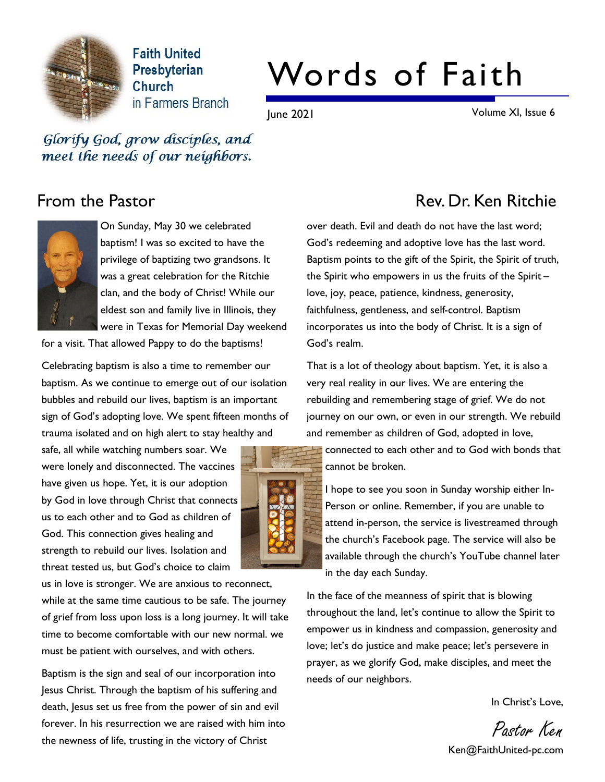

**Faith United** Presbyterian **Church** in Farmers Branch

# Words of Faith

June 2021 Volume XI, Issue 6

Glorify God, grow disciples, and meet the needs of our neighbors.



On Sunday, May 30 we celebrated baptism! I was so excited to have the privilege of baptizing two grandsons. It was a great celebration for the Ritchie clan, and the body of Christ! While our eldest son and family live in Illinois, they were in Texas for Memorial Day weekend

for a visit. That allowed Pappy to do the baptisms!

Celebrating baptism is also a time to remember our baptism. As we continue to emerge out of our isolation bubbles and rebuild our lives, baptism is an important sign of God's adopting love. We spent fifteen months of trauma isolated and on high alert to stay healthy and

safe, all while watching numbers soar. We were lonely and disconnected. The vaccines have given us hope. Yet, it is our adoption by God in love through Christ that connects us to each other and to God as children of God. This connection gives healing and strength to rebuild our lives. Isolation and threat tested us, but God's choice to claim

us in love is stronger. We are anxious to reconnect, while at the same time cautious to be safe. The journey of grief from loss upon loss is a long journey. It will take time to become comfortable with our new normal. we must be patient with ourselves, and with others.

Baptism is the sign and seal of our incorporation into Jesus Christ. Through the baptism of his suffering and death, Jesus set us free from the power of sin and evil forever. In his resurrection we are raised with him into the newness of life, trusting in the victory of Christ



## From the Pastor **Rev. Dr. Ken Ritchie**

over death. Evil and death do not have the last word; God's redeeming and adoptive love has the last word. Baptism points to the gift of the Spirit, the Spirit of truth, the Spirit who empowers in us the fruits of the Spirit – love, joy, peace, patience, kindness, generosity, faithfulness, gentleness, and self-control. Baptism incorporates us into the body of Christ. It is a sign of God's realm.

That is a lot of theology about baptism. Yet, it is also a very real reality in our lives. We are entering the rebuilding and remembering stage of grief. We do not journey on our own, or even in our strength. We rebuild and remember as children of God, adopted in love,

connected to each other and to God with bonds that cannot be broken.

I hope to see you soon in Sunday worship either In-Person or online. Remember, if you are unable to attend in-person, the service is livestreamed through the church's Facebook page. The service will also be available through the church's YouTube channel later in the day each Sunday.

In the face of the meanness of spirit that is blowing throughout the land, let's continue to allow the Spirit to empower us in kindness and compassion, generosity and love; let's do justice and make peace; let's persevere in prayer, as we glorify God, make disciples, and meet the needs of our neighbors.

In Christ's Love,

Pastor Ken

Ken@FaithUnited-pc.com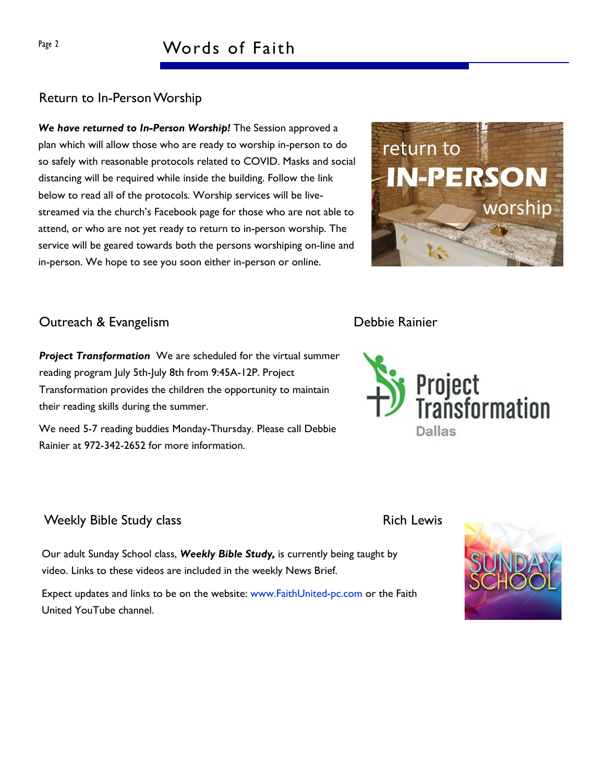#### Return to In-Person Worship

We have returned to In-Person Worship! The Session approved a plan which will allow those who are ready to worship in-person to do so safely with reasonable protocols related to COVID. Masks and social distancing will be required while inside the building. Follow the link below to read all of the protocols. Worship services will be livestreamed via the church's Facebook page for those who are not able to attend, or who are not yet ready to return to in-person worship. The service will be geared towards both the persons worshiping on-line and in-person. We hope to see you soon either in-person or online.



#### **Outreach & Evangelism Contract Contract Contract Contract Contract Contract Contract Contract Contract Contract Contract Contract Contract Contract Contract Contract Contract Contract Contract Contract Contract Contract C**

**Project Transformation** We are scheduled for the virtual summer reading program July 5th-July 8th from 9:45A-12P. Project Transformation provides the children the opportunity to maintain their reading skills during the summer.

We need 5-7 reading buddies Monday-Thursday. Please call Debbie Rainier at 972-342-2652 for more information.

#### Weekly Bible Study class **Rich Lewis** Rich Lewis

Our adult Sunday School class, Weekly Bible Study, is currently being taught by video. Links to these videos are included in the weekly News Brief.

Expect updates and links to be on the website: www.FaithUnited-pc.com or the Faith United YouTube channel.





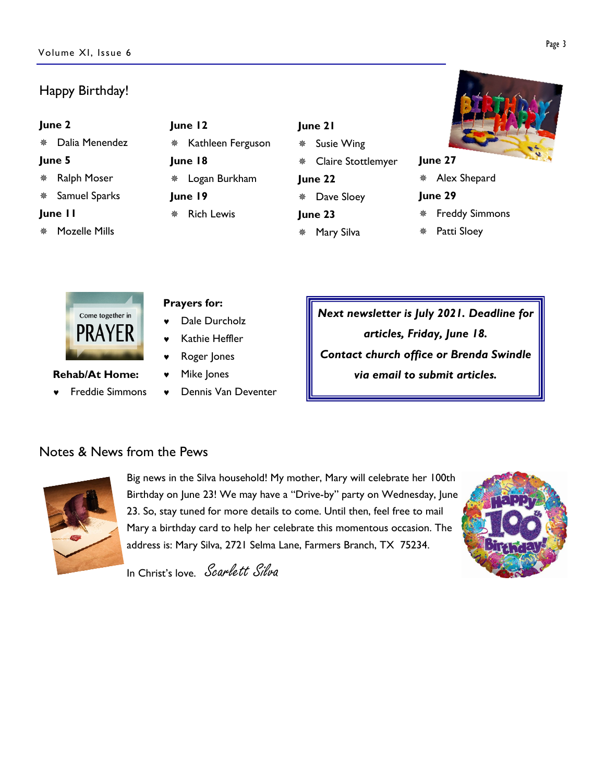### Happy Birthday!

| June 2  |                    | June 12                |                   |      | June |  |
|---------|--------------------|------------------------|-------------------|------|------|--|
|         | Dalia Menendez     | 楽                      | Kathleen Ferguson |      | Sι   |  |
| June 5  |                    | June 18                |                   |      | C    |  |
|         | <b>Ralph Moser</b> | * Logan Burkham        |                   | June |      |  |
|         | Samuel Sparks      | June 19                |                   | 豢    | D    |  |
| June II |                    | <b>Rich Lewis</b><br>漈 |                   | June |      |  |
| ₩       | Mozelle Mills      |                        |                   | 罄    | M    |  |

### $21$

- usie Wing
- Iaire Stottlemyer
- 22
- ave Sloey
- 23
	- Mary Silva



#### June 27

\* Alex Shepard

#### June 29

- **Freddy Simmons**
- Patti Sloey



© Freddie Simmons

Rehab/At Home:

#### Prayers for:

- Dale Durcholz
- Kathie Heffler
- Roger Jones
- © Mike Jones
- © Dennis Van Deventer

Next newsletter is July 2021. Deadline for articles, Friday, June 18. Contact church office or Brenda Swindle via email to submit articles.

### Notes & News from the Pews



Big news in the Silva household! My mother, Mary will celebrate her 100th Birthday on June 23! We may have a "Drive-by" party on Wednesday, June 23. So, stay tuned for more details to come. Until then, feel free to mail Mary a birthday card to help her celebrate this momentous occasion. The address is: Mary Silva, 2721 Selma Lane, Farmers Branch, TX 75234.



In Christ's love. Scarlett Silva